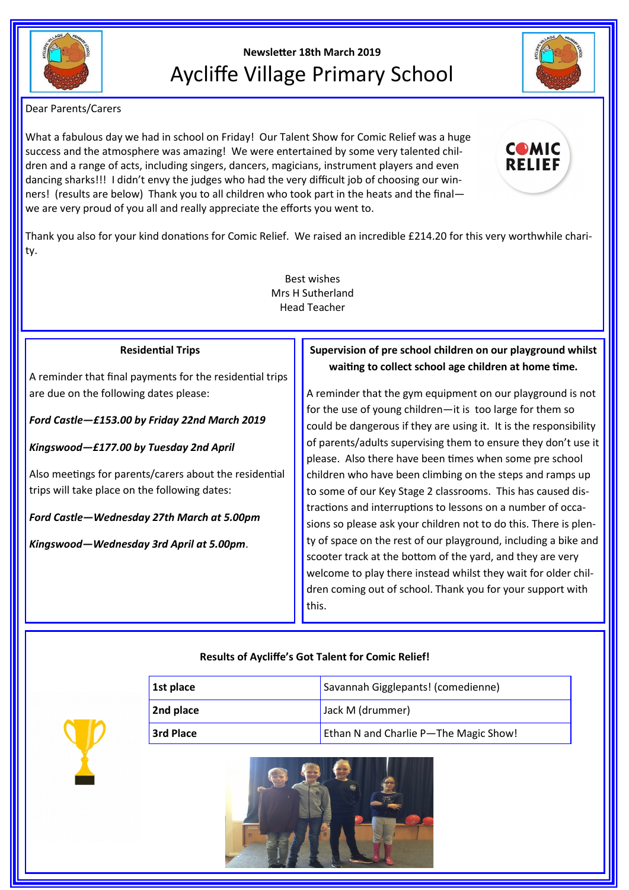

# **Newsletter 18th March 2019** Aycliffe Village Primary School



Dear Parents/Carers

What a fabulous day we had in school on Friday! Our Talent Show for Comic Relief was a huge success and the atmosphere was amazing! We were entertained by some very talented children and a range of acts, including singers, dancers, magicians, instrument players and even dancing sharks!!! I didn't envy the judges who had the very difficult job of choosing our winners! (results are below) Thank you to all children who took part in the heats and the final we are very proud of you all and really appreciate the efforts you went to.



Thank you also for your kind donations for Comic Relief. We raised an incredible £214.20 for this very worthwhile charity.

> Best wishes Mrs H Sutherland Head Teacher

## **Residential Trips**

A reminder that final payments for the residential trips are due on the following dates please:

*Ford Castle—£153.00 by Friday 22nd March 2019*

*Kingswood—£177.00 by Tuesday 2nd April* 

Also meetings for parents/carers about the residential trips will take place on the following dates:

*Ford Castle—Wednesday 27th March at 5.00pm*

*Kingswood—Wednesday 3rd April at 5.00pm*.

# **Supervision of pre school children on our playground whilst waiting to collect school age children at home time.**

A reminder that the gym equipment on our playground is not for the use of young children—it is too large for them so could be dangerous if they are using it. It is the responsibility of parents/adults supervising them to ensure they don't use it please. Also there have been times when some pre school children who have been climbing on the steps and ramps up to some of our Key Stage 2 classrooms. This has caused distractions and interruptions to lessons on a number of occasions so please ask your children not to do this. There is plenty of space on the rest of our playground, including a bike and scooter track at the bottom of the yard, and they are very welcome to play there instead whilst they wait for older children coming out of school. Thank you for your support with this.

# **Results of Aycliffe's Got Talent for Comic Relief!**

| 1st place        | Savannah Gigglepants! (comedienne)    |
|------------------|---------------------------------------|
| 2nd place        | Jack M (drummer)                      |
| <b>3rd Place</b> | Ethan N and Charlie P-The Magic Show! |